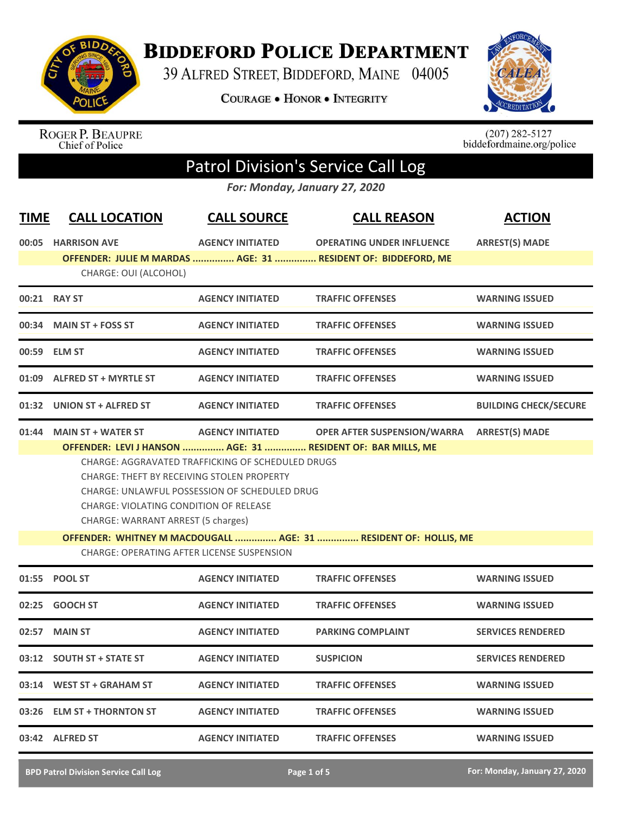

## **BIDDEFORD POLICE DEPARTMENT**

39 ALFRED STREET, BIDDEFORD, MAINE 04005

**COURAGE . HONOR . INTEGRITY** 



ROGER P. BEAUPRE<br>Chief of Police

 $(207)$  282-5127<br>biddefordmaine.org/police

## Patrol Division's Service Call Log

*For: Monday, January 27, 2020*

| <b>TIME</b>                                | <b>CALL LOCATION</b>                                             | <b>CALL SOURCE</b>      | <b>CALL REASON</b>                                            | <b>ACTION</b>                |  |  |
|--------------------------------------------|------------------------------------------------------------------|-------------------------|---------------------------------------------------------------|------------------------------|--|--|
|                                            | 00:05 HARRISON AVE                                               | <b>AGENCY INITIATED</b> | <b>OPERATING UNDER INFLUENCE</b>                              | <b>ARREST(S) MADE</b>        |  |  |
|                                            | CHARGE: OUI (ALCOHOL)                                            |                         | OFFENDER: JULIE M MARDAS  AGE: 31  RESIDENT OF: BIDDEFORD, ME |                              |  |  |
|                                            |                                                                  |                         |                                                               |                              |  |  |
|                                            | 00:21 RAY ST                                                     | <b>AGENCY INITIATED</b> | <b>TRAFFIC OFFENSES</b>                                       | <b>WARNING ISSUED</b>        |  |  |
|                                            | 00:34 MAIN ST + FOSS ST                                          | <b>AGENCY INITIATED</b> | <b>TRAFFIC OFFENSES</b>                                       | <b>WARNING ISSUED</b>        |  |  |
|                                            | 00:59 ELM ST                                                     | <b>AGENCY INITIATED</b> | <b>TRAFFIC OFFENSES</b>                                       | <b>WARNING ISSUED</b>        |  |  |
|                                            | 01:09 ALFRED ST + MYRTLE ST                                      | <b>AGENCY INITIATED</b> | <b>TRAFFIC OFFENSES</b>                                       | <b>WARNING ISSUED</b>        |  |  |
|                                            | 01:32 UNION ST + ALFRED ST                                       | <b>AGENCY INITIATED</b> | <b>TRAFFIC OFFENSES</b>                                       | <b>BUILDING CHECK/SECURE</b> |  |  |
| 01:44                                      | <b>MAIN ST + WATER ST</b>                                        | <b>AGENCY INITIATED</b> | <b>OPER AFTER SUSPENSION/WARRA</b>                            | <b>ARREST(S) MADE</b>        |  |  |
|                                            | OFFENDER: LEVI J HANSON  AGE: 31  RESIDENT OF: BAR MILLS, ME     |                         |                                                               |                              |  |  |
|                                            | CHARGE: AGGRAVATED TRAFFICKING OF SCHEDULED DRUGS                |                         |                                                               |                              |  |  |
|                                            | <b>CHARGE: THEFT BY RECEIVING STOLEN PROPERTY</b>                |                         |                                                               |                              |  |  |
|                                            | <b>CHARGE: UNLAWFUL POSSESSION OF SCHEDULED DRUG</b>             |                         |                                                               |                              |  |  |
|                                            | <b>CHARGE: VIOLATING CONDITION OF RELEASE</b>                    |                         |                                                               |                              |  |  |
|                                            | CHARGE: WARRANT ARREST (5 charges)                               |                         |                                                               |                              |  |  |
|                                            | OFFENDER: WHITNEY M MACDOUGALL  AGE: 31  RESIDENT OF: HOLLIS, ME |                         |                                                               |                              |  |  |
| CHARGE: OPERATING AFTER LICENSE SUSPENSION |                                                                  |                         |                                                               |                              |  |  |
| 01:55                                      | <b>POOL ST</b>                                                   | <b>AGENCY INITIATED</b> | <b>TRAFFIC OFFENSES</b>                                       | <b>WARNING ISSUED</b>        |  |  |
| 02:25                                      | <b>GOOCH ST</b>                                                  | <b>AGENCY INITIATED</b> | <b>TRAFFIC OFFENSES</b>                                       | <b>WARNING ISSUED</b>        |  |  |
|                                            | 02:57 MAIN ST                                                    | <b>AGENCY INITIATED</b> | <b>PARKING COMPLAINT</b>                                      | <b>SERVICES RENDERED</b>     |  |  |
|                                            | 03:12 SOUTH ST + STATE ST                                        | <b>AGENCY INITIATED</b> | <b>SUSPICION</b>                                              | <b>SERVICES RENDERED</b>     |  |  |
|                                            | 03:14 WEST ST + GRAHAM ST                                        | <b>AGENCY INITIATED</b> | <b>TRAFFIC OFFENSES</b>                                       | <b>WARNING ISSUED</b>        |  |  |
|                                            | 03:26 ELM ST + THORNTON ST                                       | <b>AGENCY INITIATED</b> | <b>TRAFFIC OFFENSES</b>                                       | <b>WARNING ISSUED</b>        |  |  |
|                                            | 03:42 ALFRED ST                                                  | <b>AGENCY INITIATED</b> | <b>TRAFFIC OFFENSES</b>                                       | <b>WARNING ISSUED</b>        |  |  |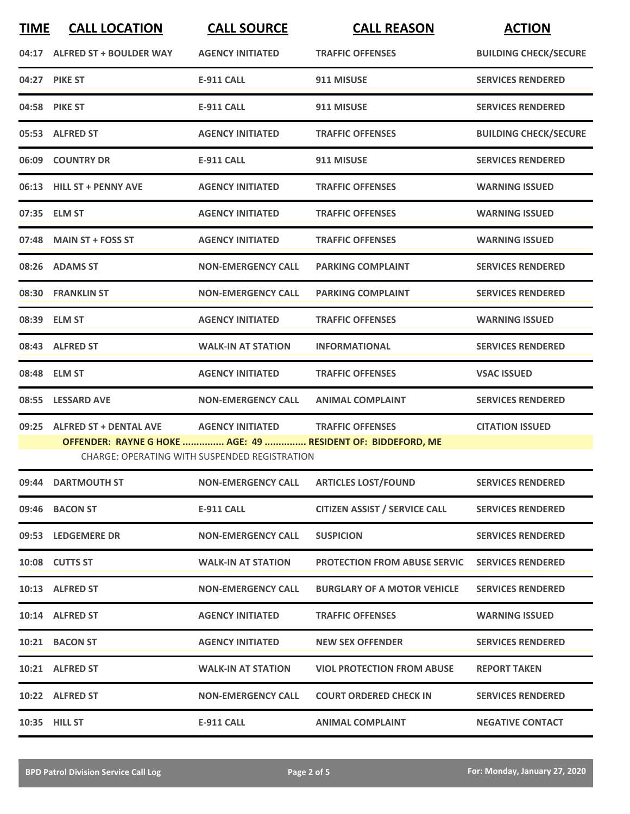| <b>TIME</b> | <b>CALL LOCATION</b>          | <b>CALL SOURCE</b>                            | <b>CALL REASON</b>                                          | <b>ACTION</b>                |
|-------------|-------------------------------|-----------------------------------------------|-------------------------------------------------------------|------------------------------|
|             | 04:17 ALFRED ST + BOULDER WAY | <b>AGENCY INITIATED</b>                       | <b>TRAFFIC OFFENSES</b>                                     | <b>BUILDING CHECK/SECURE</b> |
|             | 04:27 PIKE ST                 | <b>E-911 CALL</b>                             | 911 MISUSE                                                  | <b>SERVICES RENDERED</b>     |
|             | 04:58 PIKE ST                 | <b>E-911 CALL</b>                             | 911 MISUSE                                                  | <b>SERVICES RENDERED</b>     |
|             | 05:53 ALFRED ST               | <b>AGENCY INITIATED</b>                       | <b>TRAFFIC OFFENSES</b>                                     | <b>BUILDING CHECK/SECURE</b> |
|             | 06:09 COUNTRY DR              | <b>E-911 CALL</b>                             | 911 MISUSE                                                  | <b>SERVICES RENDERED</b>     |
|             | 06:13 HILL ST + PENNY AVE     | <b>AGENCY INITIATED</b>                       | <b>TRAFFIC OFFENSES</b>                                     | <b>WARNING ISSUED</b>        |
|             | 07:35 ELM ST                  | <b>AGENCY INITIATED</b>                       | <b>TRAFFIC OFFENSES</b>                                     | <b>WARNING ISSUED</b>        |
| 07:48       | <b>MAIN ST + FOSS ST</b>      | <b>AGENCY INITIATED</b>                       | <b>TRAFFIC OFFENSES</b>                                     | <b>WARNING ISSUED</b>        |
|             | 08:26 ADAMS ST                | <b>NON-EMERGENCY CALL</b>                     | <b>PARKING COMPLAINT</b>                                    | <b>SERVICES RENDERED</b>     |
|             | 08:30 FRANKLIN ST             | <b>NON-EMERGENCY CALL</b>                     | <b>PARKING COMPLAINT</b>                                    | <b>SERVICES RENDERED</b>     |
|             | 08:39 ELM ST                  | <b>AGENCY INITIATED</b>                       | <b>TRAFFIC OFFENSES</b>                                     | <b>WARNING ISSUED</b>        |
|             | 08:43 ALFRED ST               | <b>WALK-IN AT STATION</b>                     | <b>INFORMATIONAL</b>                                        | <b>SERVICES RENDERED</b>     |
|             | 08:48 ELM ST                  | <b>AGENCY INITIATED</b>                       | <b>TRAFFIC OFFENSES</b>                                     | <b>VSAC ISSUED</b>           |
| 08:55       | <b>LESSARD AVE</b>            | <b>NON-EMERGENCY CALL</b>                     | <b>ANIMAL COMPLAINT</b>                                     | <b>SERVICES RENDERED</b>     |
| 09:25       | <b>ALFRED ST + DENTAL AVE</b> | <b>AGENCY INITIATED</b>                       | <b>TRAFFIC OFFENSES</b>                                     | <b>CITATION ISSUED</b>       |
|             |                               | CHARGE: OPERATING WITH SUSPENDED REGISTRATION | OFFENDER: RAYNE G HOKE  AGE: 49  RESIDENT OF: BIDDEFORD, ME |                              |
|             | 09:44 DARTMOUTH ST            | <b>NON-EMERGENCY CALL</b>                     | <b>ARTICLES LOST/FOUND</b>                                  | <b>SERVICES RENDERED</b>     |
|             | 09:46 BACON ST                | E-911 CALL                                    | <b>CITIZEN ASSIST / SERVICE CALL</b>                        | <b>SERVICES RENDERED</b>     |
|             | 09:53 LEDGEMERE DR            | <b>NON-EMERGENCY CALL</b>                     | <b>SUSPICION</b>                                            | <b>SERVICES RENDERED</b>     |
|             | 10:08 CUTTS ST                | <b>WALK-IN AT STATION</b>                     | <b>PROTECTION FROM ABUSE SERVIC</b>                         | <b>SERVICES RENDERED</b>     |
|             | 10:13 ALFRED ST               | <b>NON-EMERGENCY CALL</b>                     | <b>BURGLARY OF A MOTOR VEHICLE</b>                          | <b>SERVICES RENDERED</b>     |
|             | 10:14 ALFRED ST               | <b>AGENCY INITIATED</b>                       | <b>TRAFFIC OFFENSES</b>                                     | <b>WARNING ISSUED</b>        |
|             | 10:21 BACON ST                | <b>AGENCY INITIATED</b>                       | <b>NEW SEX OFFENDER</b>                                     | <b>SERVICES RENDERED</b>     |
|             | 10:21 ALFRED ST               | <b>WALK-IN AT STATION</b>                     | <b>VIOL PROTECTION FROM ABUSE</b>                           | <b>REPORT TAKEN</b>          |
|             | 10:22 ALFRED ST               | <b>NON-EMERGENCY CALL</b>                     | <b>COURT ORDERED CHECK IN</b>                               | <b>SERVICES RENDERED</b>     |
|             | 10:35 HILL ST                 | <b>E-911 CALL</b>                             | <b>ANIMAL COMPLAINT</b>                                     | <b>NEGATIVE CONTACT</b>      |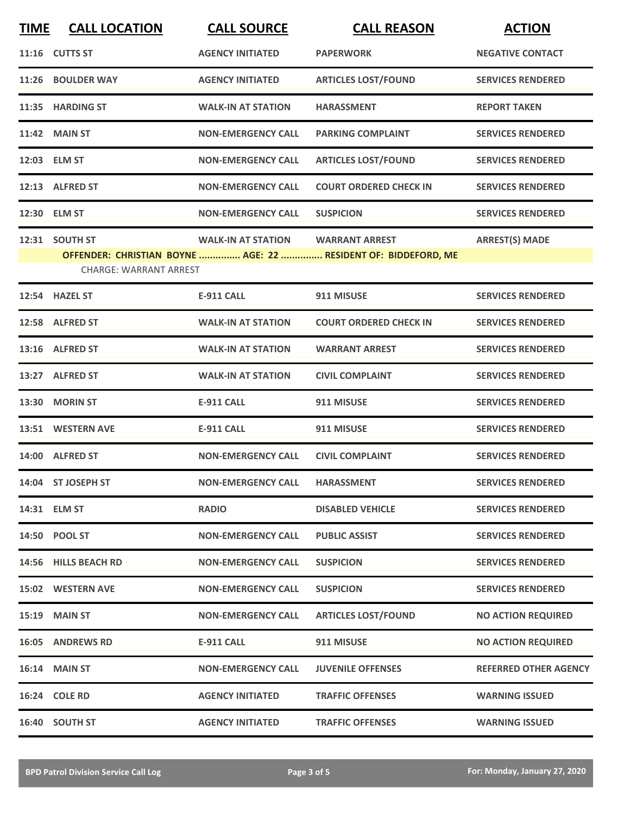| <b>TIME</b> | <b>CALL LOCATION</b>                            | <b>CALL SOURCE</b>        | <b>CALL REASON</b>                                                                      | <b>ACTION</b>                |
|-------------|-------------------------------------------------|---------------------------|-----------------------------------------------------------------------------------------|------------------------------|
|             | 11:16 CUTTS ST                                  | <b>AGENCY INITIATED</b>   | <b>PAPERWORK</b>                                                                        | <b>NEGATIVE CONTACT</b>      |
|             | 11:26 BOULDER WAY                               | <b>AGENCY INITIATED</b>   | <b>ARTICLES LOST/FOUND</b>                                                              | <b>SERVICES RENDERED</b>     |
|             | 11:35 HARDING ST                                | <b>WALK-IN AT STATION</b> | <b>HARASSMENT</b>                                                                       | <b>REPORT TAKEN</b>          |
|             | 11:42 MAIN ST                                   | <b>NON-EMERGENCY CALL</b> | <b>PARKING COMPLAINT</b>                                                                | <b>SERVICES RENDERED</b>     |
|             | 12:03 ELM ST                                    | <b>NON-EMERGENCY CALL</b> | <b>ARTICLES LOST/FOUND</b>                                                              | <b>SERVICES RENDERED</b>     |
|             | 12:13 ALFRED ST                                 | <b>NON-EMERGENCY CALL</b> | <b>COURT ORDERED CHECK IN</b>                                                           | <b>SERVICES RENDERED</b>     |
|             | 12:30 ELM ST                                    | <b>NON-EMERGENCY CALL</b> | <b>SUSPICION</b>                                                                        | <b>SERVICES RENDERED</b>     |
|             | 12:31 SOUTH ST<br><b>CHARGE: WARRANT ARREST</b> | <b>WALK-IN AT STATION</b> | <b>WARRANT ARREST</b><br>OFFENDER: CHRISTIAN BOYNE  AGE: 22  RESIDENT OF: BIDDEFORD, ME | <b>ARREST(S) MADE</b>        |
|             |                                                 |                           |                                                                                         |                              |
|             | 12:54 HAZEL ST                                  | <b>E-911 CALL</b>         | 911 MISUSE                                                                              | <b>SERVICES RENDERED</b>     |
|             | 12:58 ALFRED ST                                 | <b>WALK-IN AT STATION</b> | <b>COURT ORDERED CHECK IN</b>                                                           | <b>SERVICES RENDERED</b>     |
|             | 13:16 ALFRED ST                                 | <b>WALK-IN AT STATION</b> | <b>WARRANT ARREST</b>                                                                   | <b>SERVICES RENDERED</b>     |
|             | 13:27 ALFRED ST                                 | <b>WALK-IN AT STATION</b> | <b>CIVIL COMPLAINT</b>                                                                  | <b>SERVICES RENDERED</b>     |
| 13:30       | <b>MORIN ST</b>                                 | <b>E-911 CALL</b>         | 911 MISUSE                                                                              | <b>SERVICES RENDERED</b>     |
|             | 13:51 WESTERN AVE                               | <b>E-911 CALL</b>         | 911 MISUSE                                                                              | <b>SERVICES RENDERED</b>     |
|             | 14:00 ALFRED ST                                 | <b>NON-EMERGENCY CALL</b> | <b>CIVIL COMPLAINT</b>                                                                  | <b>SERVICES RENDERED</b>     |
|             | 14:04 ST JOSEPH ST                              | <b>NON-EMERGENCY CALL</b> | <b>HARASSMENT</b>                                                                       | <b>SERVICES RENDERED</b>     |
|             | 14:31 ELM ST                                    | <b>RADIO</b>              | <b>DISABLED VEHICLE</b>                                                                 | <b>SERVICES RENDERED</b>     |
|             | 14:50 POOL ST                                   | <b>NON-EMERGENCY CALL</b> | <b>PUBLIC ASSIST</b>                                                                    | <b>SERVICES RENDERED</b>     |
|             | 14:56 HILLS BEACH RD                            | <b>NON-EMERGENCY CALL</b> | <b>SUSPICION</b>                                                                        | <b>SERVICES RENDERED</b>     |
|             | 15:02 WESTERN AVE                               | <b>NON-EMERGENCY CALL</b> | <b>SUSPICION</b>                                                                        | <b>SERVICES RENDERED</b>     |
|             | <b>15:19 MAIN ST</b>                            | <b>NON-EMERGENCY CALL</b> | <b>ARTICLES LOST/FOUND</b>                                                              | <b>NO ACTION REQUIRED</b>    |
|             | <b>16:05 ANDREWS RD</b>                         | <b>E-911 CALL</b>         | 911 MISUSE                                                                              | <b>NO ACTION REQUIRED</b>    |
|             | <b>16:14 MAIN ST</b>                            | <b>NON-EMERGENCY CALL</b> | <b>JUVENILE OFFENSES</b>                                                                | <b>REFERRED OTHER AGENCY</b> |
|             | 16:24 COLE RD                                   | <b>AGENCY INITIATED</b>   | <b>TRAFFIC OFFENSES</b>                                                                 | <b>WARNING ISSUED</b>        |
|             | 16:40 SOUTH ST                                  | <b>AGENCY INITIATED</b>   | <b>TRAFFIC OFFENSES</b>                                                                 | <b>WARNING ISSUED</b>        |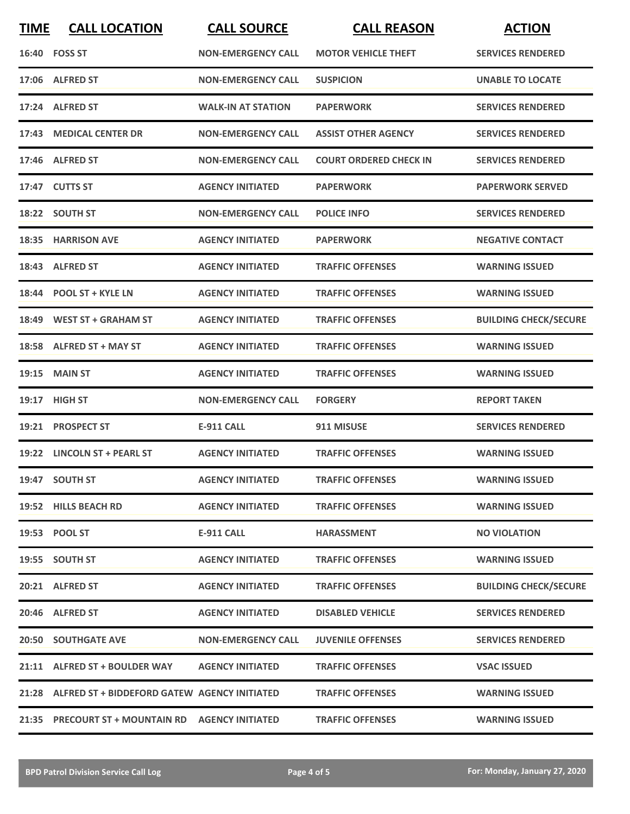| <b>TIME</b> | <b>CALL LOCATION</b>                               | <b>CALL SOURCE</b>        | <b>CALL REASON</b>            | <b>ACTION</b>                |
|-------------|----------------------------------------------------|---------------------------|-------------------------------|------------------------------|
|             | 16:40 FOSS ST                                      | <b>NON-EMERGENCY CALL</b> | <b>MOTOR VEHICLE THEFT</b>    | <b>SERVICES RENDERED</b>     |
|             | 17:06 ALFRED ST                                    | <b>NON-EMERGENCY CALL</b> | <b>SUSPICION</b>              | <b>UNABLE TO LOCATE</b>      |
|             | 17:24 ALFRED ST                                    | <b>WALK-IN AT STATION</b> | <b>PAPERWORK</b>              | <b>SERVICES RENDERED</b>     |
|             | 17:43 MEDICAL CENTER DR                            | <b>NON-EMERGENCY CALL</b> | <b>ASSIST OTHER AGENCY</b>    | <b>SERVICES RENDERED</b>     |
|             | 17:46 ALFRED ST                                    | <b>NON-EMERGENCY CALL</b> | <b>COURT ORDERED CHECK IN</b> | <b>SERVICES RENDERED</b>     |
|             | 17:47 CUTTS ST                                     | <b>AGENCY INITIATED</b>   | <b>PAPERWORK</b>              | <b>PAPERWORK SERVED</b>      |
|             | 18:22 SOUTH ST                                     | <b>NON-EMERGENCY CALL</b> | <b>POLICE INFO</b>            | <b>SERVICES RENDERED</b>     |
| 18:35       | <b>HARRISON AVE</b>                                | <b>AGENCY INITIATED</b>   | <b>PAPERWORK</b>              | <b>NEGATIVE CONTACT</b>      |
| 18:43       | <b>ALFRED ST</b>                                   | <b>AGENCY INITIATED</b>   | <b>TRAFFIC OFFENSES</b>       | <b>WARNING ISSUED</b>        |
|             | 18:44 POOL ST + KYLE LN                            | <b>AGENCY INITIATED</b>   | <b>TRAFFIC OFFENSES</b>       | <b>WARNING ISSUED</b>        |
|             | 18:49 WEST ST + GRAHAM ST                          | <b>AGENCY INITIATED</b>   | <b>TRAFFIC OFFENSES</b>       | <b>BUILDING CHECK/SECURE</b> |
| 18:58       | <b>ALFRED ST + MAY ST</b>                          | <b>AGENCY INITIATED</b>   | <b>TRAFFIC OFFENSES</b>       | <b>WARNING ISSUED</b>        |
| 19:15       | <b>MAIN ST</b>                                     | <b>AGENCY INITIATED</b>   | <b>TRAFFIC OFFENSES</b>       | <b>WARNING ISSUED</b>        |
|             | 19:17 HIGH ST                                      | <b>NON-EMERGENCY CALL</b> | <b>FORGERY</b>                | <b>REPORT TAKEN</b>          |
| 19:21       | <b>PROSPECT ST</b>                                 | <b>E-911 CALL</b>         | 911 MISUSE                    | <b>SERVICES RENDERED</b>     |
|             | 19:22 LINCOLN ST + PEARL ST                        | <b>AGENCY INITIATED</b>   | <b>TRAFFIC OFFENSES</b>       | <b>WARNING ISSUED</b>        |
|             | 19:47 SOUTH ST                                     | <b>AGENCY INITIATED</b>   | <b>TRAFFIC OFFENSES</b>       | <b>WARNING ISSUED</b>        |
|             | 19:52 HILLS BEACH RD                               | <b>AGENCY INITIATED</b>   | <b>TRAFFIC OFFENSES</b>       | <b>WARNING ISSUED</b>        |
|             | 19:53 POOL ST                                      | E-911 CALL                | <b>HARASSMENT</b>             | <b>NO VIOLATION</b>          |
|             | 19:55 SOUTH ST                                     | <b>AGENCY INITIATED</b>   | <b>TRAFFIC OFFENSES</b>       | <b>WARNING ISSUED</b>        |
|             | 20:21 ALFRED ST                                    | <b>AGENCY INITIATED</b>   | <b>TRAFFIC OFFENSES</b>       | <b>BUILDING CHECK/SECURE</b> |
|             | 20:46 ALFRED ST                                    | <b>AGENCY INITIATED</b>   | <b>DISABLED VEHICLE</b>       | <b>SERVICES RENDERED</b>     |
|             | <b>20:50 SOUTHGATE AVE</b>                         | <b>NON-EMERGENCY CALL</b> | <b>JUVENILE OFFENSES</b>      | <b>SERVICES RENDERED</b>     |
|             | 21:11 ALFRED ST + BOULDER WAY                      | <b>AGENCY INITIATED</b>   | <b>TRAFFIC OFFENSES</b>       | <b>VSAC ISSUED</b>           |
|             | 21:28 ALFRED ST + BIDDEFORD GATEW AGENCY INITIATED |                           | <b>TRAFFIC OFFENSES</b>       | <b>WARNING ISSUED</b>        |
|             | 21:35 PRECOURT ST + MOUNTAIN RD AGENCY INITIATED   |                           | <b>TRAFFIC OFFENSES</b>       | <b>WARNING ISSUED</b>        |